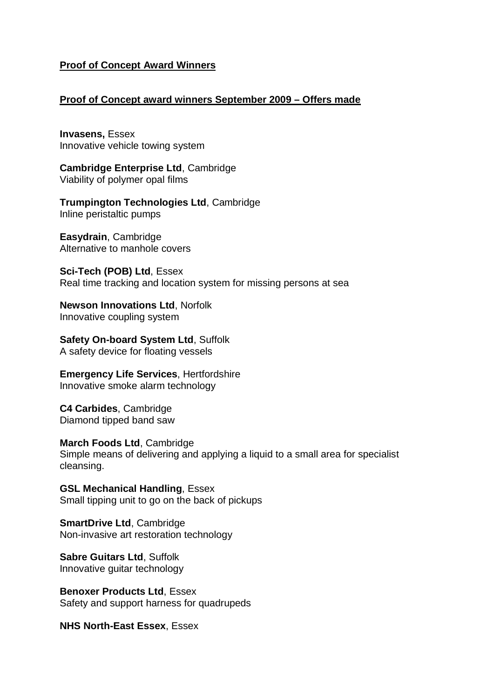## **Proof of Concept Award Winners**

## **Proof of Concept award winners September 2009 – Offers made**

**Invasens,** Essex Innovative vehicle towing system

**Cambridge Enterprise Ltd**, Cambridge Viability of polymer opal films

**Trumpington Technologies Ltd**, Cambridge Inline peristaltic pumps

**Easydrain**, Cambridge Alternative to manhole covers

**Sci-Tech (POB) Ltd**, Essex Real time tracking and location system for missing persons at sea

**Newson Innovations Ltd**, Norfolk Innovative coupling system

**Safety On-board System Ltd**, Suffolk A safety device for floating vessels

**Emergency Life Services**, Hertfordshire Innovative smoke alarm technology

**C4 Carbides**, Cambridge Diamond tipped band saw

**March Foods Ltd**, Cambridge Simple means of delivering and applying a liquid to a small area for specialist cleansing.

**GSL Mechanical Handling**, Essex Small tipping unit to go on the back of pickups

**SmartDrive Ltd**, Cambridge Non-invasive art restoration technology

**Sabre Guitars Ltd**, Suffolk Innovative guitar technology

**Benoxer Products Ltd**, Essex Safety and support harness for quadrupeds

**NHS North-East Essex**, Essex